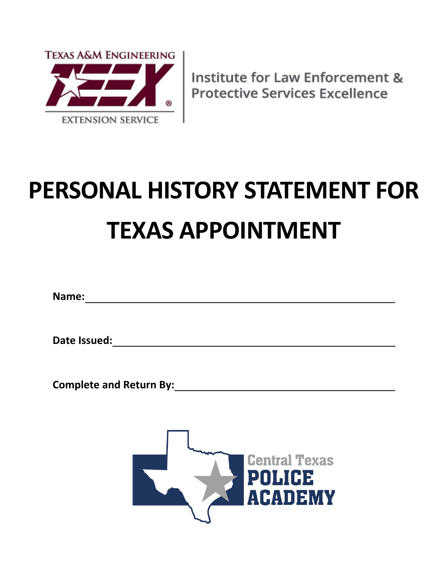

# **PERSONAL HISTORY STATEMENT FOR TEXAS APPOINTMENT**

**Name:** 

**Date Issued:** 

Complete and Return By: *Complete and Return By* 

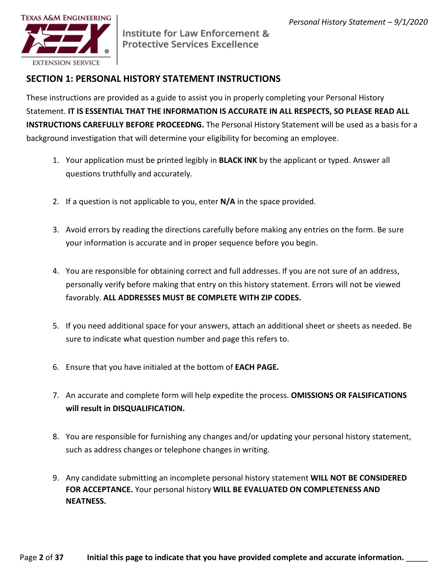

### **SECTION 1: PERSONAL HISTORY STATEMENT INSTRUCTIONS**

 Statement. **IT IS ESSENTIAL THAT THE INFORMATION IS ACCURATE IN ALL RESPECTS, SO PLEASE READ ALL**  These instructions are provided as a guide to assist you in properly completing your Personal History **INSTRUCTIONS CAREFULLY BEFORE PROCEEDNG.** The Personal History Statement will be used as a basis for a background investigation that will determine your eligibility for becoming an employee.

- 1. Your application must be printed legibly in **BLACK INK** by the applicant or typed. Answer all questions truthfully and accurately.
- 2. If a question is not applicable to you, enter **N/A** in the space provided.
- 3. Avoid errors by reading the directions carefully before making any entries on the form. Be sure your information is accurate and in proper sequence before you begin.
- favorably. **ALL ADDRESSES MUST BE COMPLETE WITH ZIP CODES.**  4. You are responsible for obtaining correct and full addresses. If you are not sure of an address, personally verify before making that entry on this history statement. Errors will not be viewed
- 5. If you need additional space for your answers, attach an additional sheet or sheets as needed. Be sure to indicate what question number and page this refers to.
- 6. Ensure that you have initialed at the bottom of **EACH PAGE.**
- 7. An accurate and complete form will help expedite the process. **OMISSIONS OR FALSIFICATIONS will result in DISQUALIFICATION.**
- 8. You are responsible for furnishing any changes and/or updating your personal history statement, such as address changes or telephone changes in writing.
- 9. Any candidate submitting an incomplete personal history statement **WILL NOT BE CONSIDERED FOR ACCEPTANCE.** Your personal history **WILL BE EVALUATED ON COMPLETENESS AND NEATNESS.**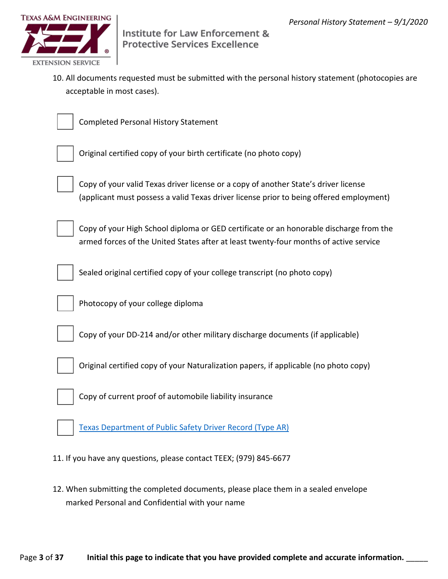

10. All documents requested must be submitted with the personal history statement (photocopies are acceptable in most cases).



Completed Personal History Statement



Original certified copy of your birth certificate (no photo copy)



 Copy of your valid Texas driver license or a copy of another State's driver license (applicant must possess a valid Texas driver license prior to being offered employment)



Copy of your High School diploma or GED certificate or an honorable discharge from the armed forces of the United States after at least twenty-four months of active service



Sealed original certified copy of your college transcript (no photo copy)



Photocopy of your college diploma



Copy of your DD-214 and/or other military discharge documents (if applicable)



Original certified copy of your Naturalization papers, if applicable (no photo copy)



Copy of current proof of automobile liability insurance

Texas Department of Public Safety Driver Record (Type AR)

11. If you have any questions, please contact TEEX; (979) 845-6677

12. When submitting the completed documents, please place them in a sealed envelope marked Personal and Confidential with your name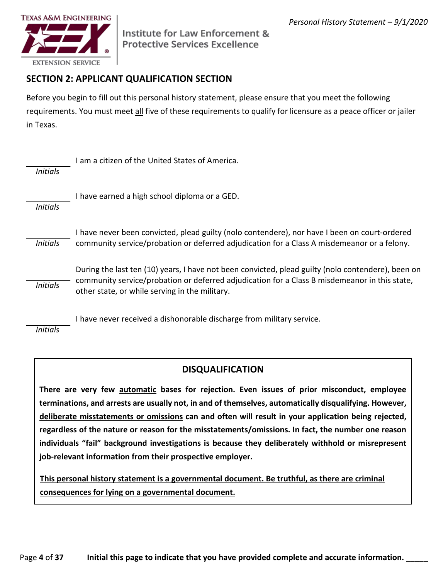

## **SECTION 2: APPLICANT QUALIFICATION SECTION**

 Before you begin to fill out this personal history statement, please ensure that you meet the following requirements. You must meet all five of these requirements to qualify for licensure as a peace officer or jailer in Texas.

|                 | am a citizen of the United States of America.                                                                                                                                                                                                         |
|-----------------|-------------------------------------------------------------------------------------------------------------------------------------------------------------------------------------------------------------------------------------------------------|
| <b>Initials</b> |                                                                                                                                                                                                                                                       |
| <b>Initials</b> | I have earned a high school diploma or a GED.                                                                                                                                                                                                         |
| <b>Initials</b> | I have never been convicted, plead guilty (nolo contendere), nor have I been on court-ordered<br>community service/probation or deferred adjudication for a Class A misdemeanor or a felony.                                                          |
| <b>Initials</b> | During the last ten (10) years, I have not been convicted, plead guilty (nolo contendere), been on<br>community service/probation or deferred adjudication for a Class B misdemeanor in this state,<br>other state, or while serving in the military. |

I have never received a dishonorable discharge from military service.

*Initials* 

#### **DISQUALIFICATION**

 **There are very few automatic bases for rejection. Even issues of prior misconduct, employee regardless of the nature or reason for the misstatements/omissions. In fact, the number one reason individuals "fail" background investigations is because they deliberately withhold or misrepresent job-relevant information from their prospective employer. terminations, and arrests are usually not, in and of themselves, automatically disqualifying. However, deliberate misstatements or omissions can and often will result in your application being rejected,** 

**This personal history statement is a governmental document. Be truthful, as there are criminal consequences for lying on a governmental document.**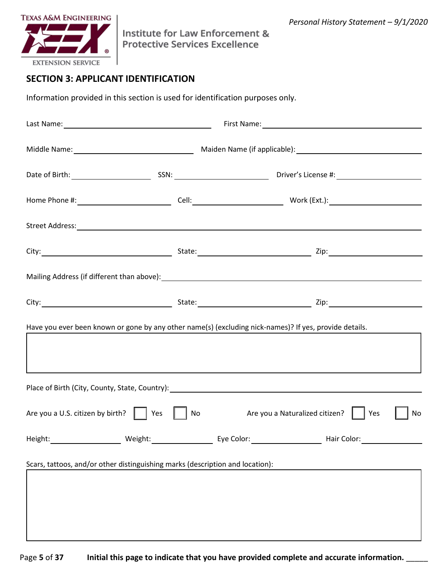



## **SECTION 3: APPLICANT IDENTIFICATION**

Information provided in this section is used for identification purposes only.

|                                                                               |    | Have you ever been known or gone by any other name(s) (excluding nick-names)? If yes, provide details. |
|-------------------------------------------------------------------------------|----|--------------------------------------------------------------------------------------------------------|
|                                                                               |    |                                                                                                        |
| Are you a U.S. citizen by birth? $\parallel$   Yes                            | No | Are you a Naturalized citizen?     Yes<br>No                                                           |
|                                                                               |    |                                                                                                        |
| Scars, tattoos, and/or other distinguishing marks (description and location): |    |                                                                                                        |
|                                                                               |    |                                                                                                        |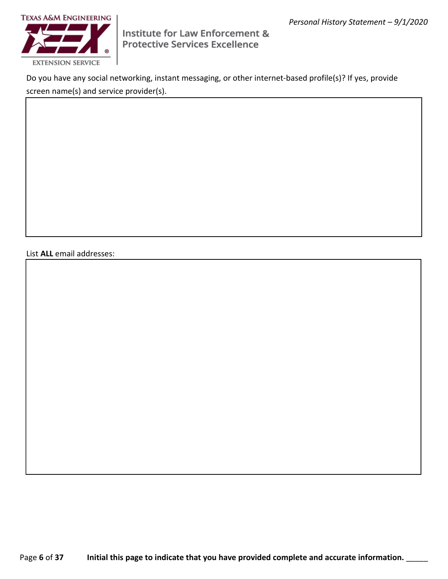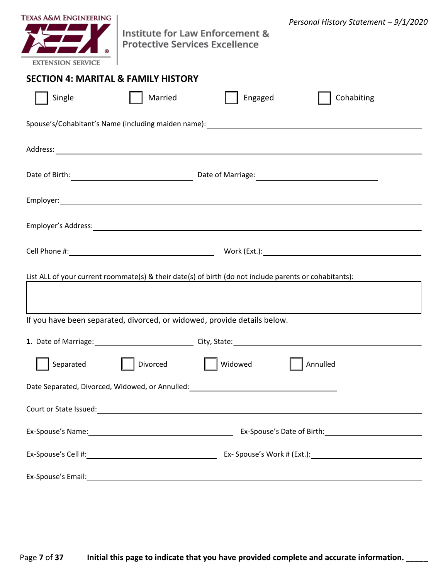|  | $\Box$ | П      |        |  |
|--|--------|--------|--------|--|
|  |        |        |        |  |
|  |        |        |        |  |
|  |        |        |        |  |
|  |        |        |        |  |
|  |        |        |        |  |
|  |        |        |        |  |
|  | $\Box$ | $\Box$ | $\Box$ |  |
|  |        |        |        |  |
|  |        | Ξ.     |        |  |
|  |        |        |        |  |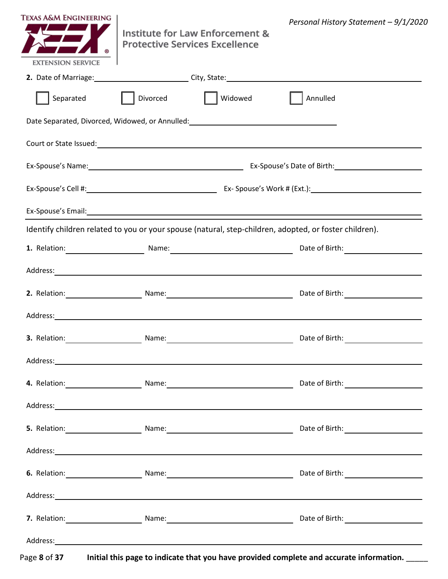|  |    |                          | L |                      |   |                          |
|--|----|--------------------------|---|----------------------|---|--------------------------|
|  |    |                          |   |                      |   |                          |
|  |    |                          |   |                      |   |                          |
|  |    |                          |   |                      |   |                          |
|  |    |                          |   |                      |   |                          |
|  |    |                          |   |                      |   |                          |
|  | Ξ. |                          |   |                      | — | $\overline{\phantom{0}}$ |
|  |    |                          |   |                      |   |                          |
|  |    | $\overline{\phantom{a}}$ |   | $\sim$ $\sim$ $\sim$ |   | Ξ.                       |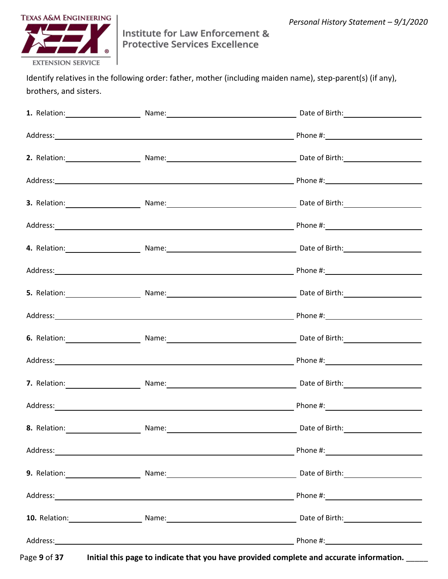$\overline{\phantom{0}}$  $\mathbf{r} = \mathbf{r}$  $\overline{\phantom{a}}$  $\overline{\phantom{0}}$  $\mathbf{r}$  and  $\mathbf{r}$ <u> 1999 - John Barnett, f</u> ÷,  $\mathbf{r} = \mathbf{r}$  $\overline{a}$  $\overline{\phantom{a}}$  $\overline{\phantom{0}}$ L.  $\sim$   $\sim$  $\mathcal{L}$  $\overline{\phantom{0}}$  $\overline{\phantom{a}}$  $\overline{\phantom{0}}$  $\overline{\phantom{a}}$  $\sim$  $\overline{a}$  $\overline{\phantom{a}}$  $\overline{\phantom{0}}$  $\mathcal{L} = \{ \mathcal{L} \}$  $\overline{\phantom{0}}$  $\overline{\phantom{a}}$  $\overline{\phantom{a}}$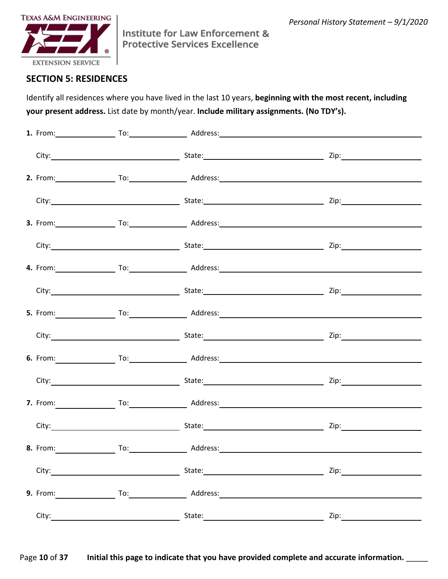- - $\overline{\phantom{0}}$  $\overline{\phantom{a}}$  $-$ — —  $\overline{\phantom{0}}$  $\overline{\phantom{a}}$  $\overline{\phantom{a}}$ **Contract Contract**  $\overline{\phantom{0}}$ — —  $\overline{\phantom{a}}$ — —  $\overline{\phantom{0}}$  $\overline{\phantom{a}}$  $\sim$ - - $\overline{\phantom{a}}$  $\overline{\phantom{0}}$  $\sim$  $\overline{\phantom{0}}$ — — — —  $\overline{\phantom{0}}$  $\overline{\phantom{a}}$ — — — —  $\overline{\phantom{a}}$  $\frac{1}{2}$  $\sim$  $\overline{\phantom{a}}$  $\overline{\phantom{0}}$  $\sim$   $\sim$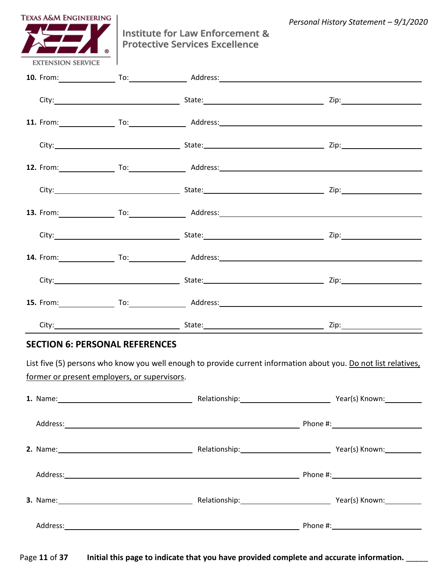| $\overline{\phantom{a}}$<br>$\sim$<br>$\sim$ $\sim$<br><u> 1989 - Johann Barnett, fransk politiker (d. 1989)</u><br>$\sim$ $\sim$<br>$\sim$ $\sim$ $\sim$ $\sim$<br>$\sim$ 100 $\pm$ |
|--------------------------------------------------------------------------------------------------------------------------------------------------------------------------------------|
|                                                                                                                                                                                      |
|                                                                                                                                                                                      |
|                                                                                                                                                                                      |
|                                                                                                                                                                                      |
|                                                                                                                                                                                      |
|                                                                                                                                                                                      |
|                                                                                                                                                                                      |
|                                                                                                                                                                                      |
|                                                                                                                                                                                      |
|                                                                                                                                                                                      |
|                                                                                                                                                                                      |
|                                                                                                                                                                                      |
|                                                                                                                                                                                      |
|                                                                                                                                                                                      |
| $\sim$ $\sim$                                                                                                                                                                        |
| $\overline{\phantom{a}}$<br>$\sim$                                                                                                                                                   |
|                                                                                                                                                                                      |
|                                                                                                                                                                                      |
|                                                                                                                                                                                      |
|                                                                                                                                                                                      |
|                                                                                                                                                                                      |
| $\sim$ 100 $\sim$ 100 $\sim$                                                                                                                                                         |
|                                                                                                                                                                                      |
|                                                                                                                                                                                      |
| $\sim$ 100 $\sim$ 100 $\sim$                                                                                                                                                         |
|                                                                                                                                                                                      |
|                                                                                                                                                                                      |
|                                                                                                                                                                                      |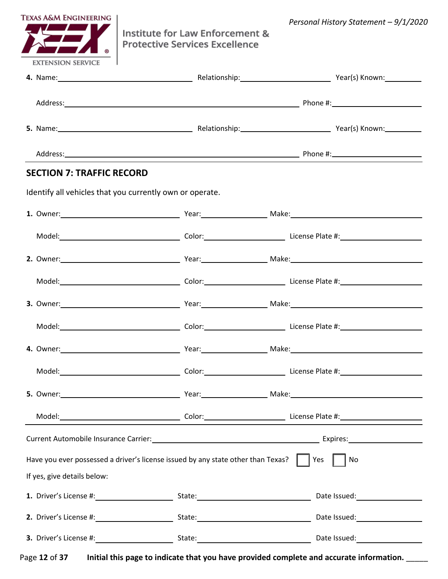|    |        | $\sim$ 100 $\pm$ |  |
|----|--------|------------------|--|
|    |        |                  |  |
|    |        |                  |  |
|    |        |                  |  |
|    |        |                  |  |
|    |        |                  |  |
|    |        |                  |  |
| Ξ. | 2000 N |                  |  |
|    |        |                  |  |
|    |        |                  |  |
|    |        |                  |  |
|    |        |                  |  |
|    |        |                  |  |
|    |        |                  |  |
|    |        |                  |  |
|    |        |                  |  |
|    |        |                  |  |
|    |        |                  |  |
|    |        |                  |  |
|    |        |                  |  |
|    |        |                  |  |
|    |        |                  |  |
|    |        |                  |  |
|    |        |                  |  |
|    |        |                  |  |
|    |        |                  |  |
|    |        |                  |  |
|    |        |                  |  |
|    |        |                  |  |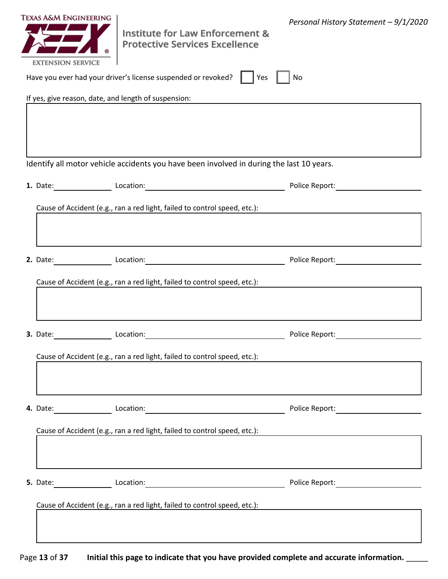|  | $\Box$ |  |
|--|--------|--|
|  |        |  |
|  |        |  |
|  |        |  |
|  |        |  |
|  |        |  |
|  |        |  |
|  |        |  |
|  |        |  |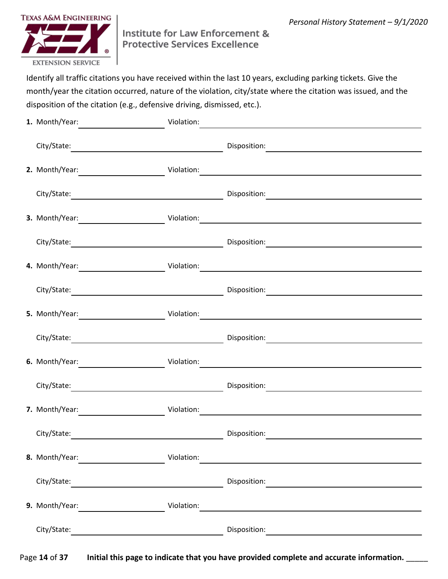**Contract Contract**  $\overline{\phantom{a}}$  and  $\overline{\phantom{a}}$  $\sim$  $\overline{\phantom{0}}$  $\frac{1}{2}$  and  $\frac{1}{2}$  and  $\frac{1}{2}$  $\sim$  $\mathbf{L}^{\text{max}}$  $\sim$  100  $\sim$  $\overline{\phantom{0}}$  $\sim$  $\mathbf{r}$  and  $\mathbf{r}$  and  $\mathbf{r}$  $\sim$  100  $\sim$  $\sim$   $\mathbf{r} = \mathbf{r} \times \mathbf{r}$  $\sim$  $\overline{\phantom{0}}$  $\mathbf{L} = \mathbf{L} \mathbf{L}$  $\sim$  $\mathbf{r}$  and  $\mathbf{r}$ .,  $\mathbf{r}$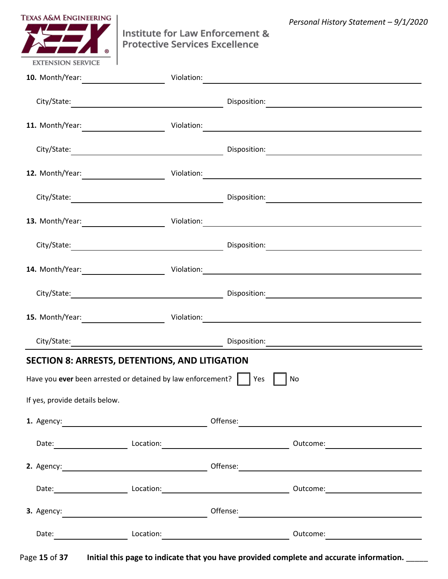| $\overline{\phantom{a}}$ |  |  |  |  |  |
|--------------------------|--|--|--|--|--|
|                          |  |  |  |  |  |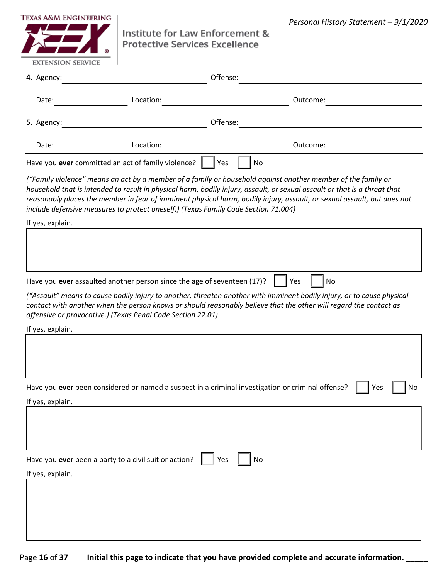|  |  | $\Box$ $\Box$ |        |        |        |  |
|--|--|---------------|--------|--------|--------|--|
|  |  |               |        |        |        |  |
|  |  |               |        |        |        |  |
|  |  |               |        | $\Box$ | $\Box$ |  |
|  |  |               |        |        |        |  |
|  |  |               |        |        |        |  |
|  |  |               |        |        |        |  |
|  |  |               |        |        |        |  |
|  |  | $\Box$        | $\Box$ |        |        |  |
|  |  |               |        |        |        |  |
|  |  |               |        |        |        |  |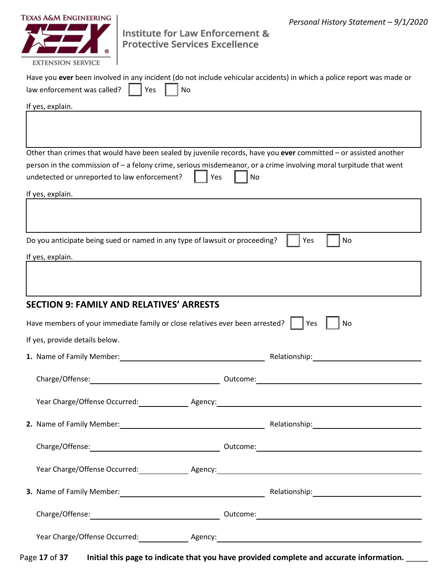|  | $\begin{array}{ccc} \square & \square \end{array}$ |        |                                           |        |               |                          |
|--|----------------------------------------------------|--------|-------------------------------------------|--------|---------------|--------------------------|
|  |                                                    |        |                                           |        |               |                          |
|  |                                                    | $\Box$ |                                           |        |               |                          |
|  |                                                    |        |                                           |        |               |                          |
|  |                                                    |        |                                           | $\Box$ | II            |                          |
|  |                                                    |        |                                           |        |               |                          |
|  |                                                    |        |                                           |        | $\Box$ $\Box$ |                          |
|  |                                                    |        |                                           |        |               |                          |
|  |                                                    |        |                                           |        |               |                          |
|  |                                                    |        |                                           |        |               | $\overline{\phantom{0}}$ |
|  |                                                    |        |                                           |        |               |                          |
|  |                                                    |        | $\sim$ $\sim$ $\sim$ $\sim$ $\sim$ $\sim$ |        |               |                          |
|  |                                                    | — —    |                                           |        |               |                          |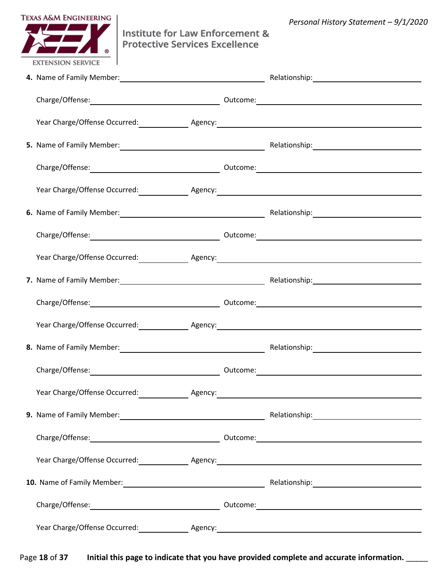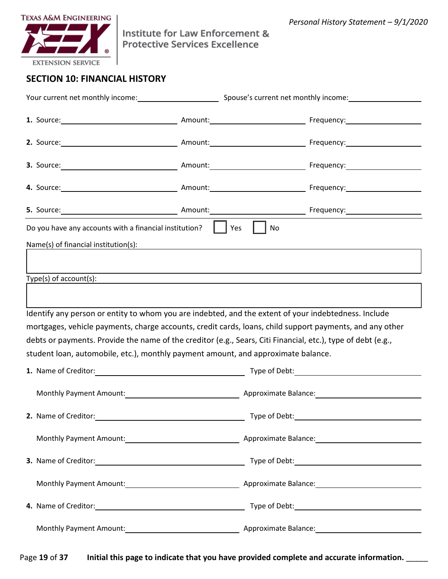|  |  | $\Box$                                                    |                                                                                                                        |                 |  |                          |
|--|--|-----------------------------------------------------------|------------------------------------------------------------------------------------------------------------------------|-----------------|--|--------------------------|
|  |  |                                                           |                                                                                                                        |                 |  |                          |
|  |  |                                                           |                                                                                                                        |                 |  |                          |
|  |  |                                                           |                                                                                                                        |                 |  |                          |
|  |  |                                                           |                                                                                                                        |                 |  |                          |
|  |  |                                                           |                                                                                                                        |                 |  |                          |
|  |  |                                                           |                                                                                                                        |                 |  |                          |
|  |  |                                                           |                                                                                                                        |                 |  |                          |
|  |  |                                                           |                                                                                                                        |                 |  |                          |
|  |  |                                                           |                                                                                                                        |                 |  |                          |
|  |  |                                                           |                                                                                                                        |                 |  |                          |
|  |  |                                                           |                                                                                                                        |                 |  |                          |
|  |  |                                                           |                                                                                                                        |                 |  |                          |
|  |  |                                                           |                                                                                                                        |                 |  | $\overline{\phantom{0}}$ |
|  |  |                                                           |                                                                                                                        |                 |  |                          |
|  |  | <u> 1989 - Johann Barnett, fransk politiker (d. 1989)</u> |                                                                                                                        |                 |  |                          |
|  |  |                                                           | <u> 1989 - Andrea Andrew Maria (h. 1989).</u><br>1980 - Andrew Maria (h. 1980).                                        | $\qquad \qquad$ |  |                          |
|  |  |                                                           |                                                                                                                        |                 |  |                          |
|  |  |                                                           |                                                                                                                        |                 |  | $\overline{\phantom{a}}$ |
|  |  |                                                           | <u> 1989 - Johann Barbara, martin da basar a shekara 1980 - An tsara 1980 - An tsara 1980 - An tsara 1980 - An tsa</u> |                 |  |                          |
|  |  |                                                           |                                                                                                                        |                 |  |                          |
|  |  |                                                           |                                                                                                                        |                 |  | $\overline{\phantom{0}}$ |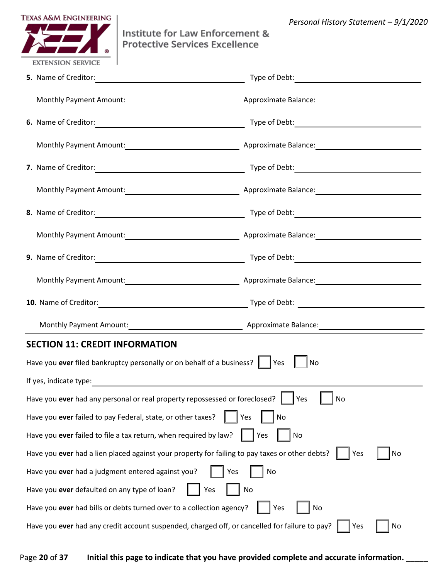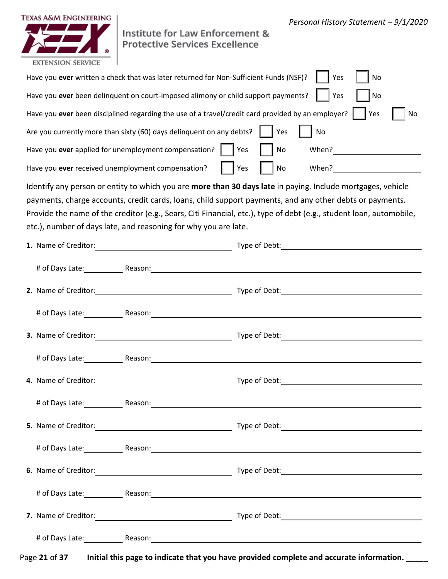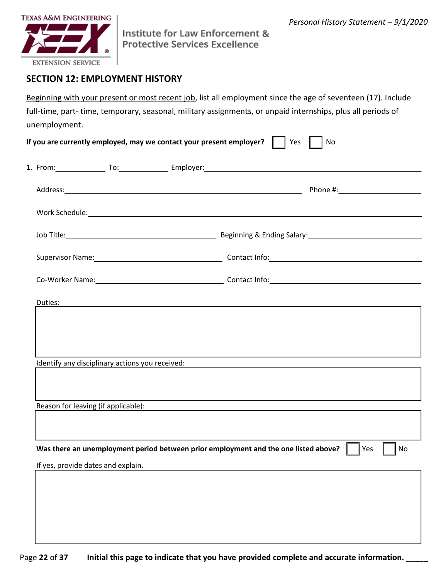|  |  |  |  | $\Box$ | $\Box$ |        |   |  |
|--|--|--|--|--------|--------|--------|---|--|
|  |  |  |  |        |        |        |   |  |
|  |  |  |  |        |        |        |   |  |
|  |  |  |  |        |        |        |   |  |
|  |  |  |  |        |        |        |   |  |
|  |  |  |  |        |        |        |   |  |
|  |  |  |  |        |        |        |   |  |
|  |  |  |  |        |        |        |   |  |
|  |  |  |  |        |        |        |   |  |
|  |  |  |  |        |        | $\Box$ | L |  |
|  |  |  |  |        |        |        |   |  |
|  |  |  |  |        |        |        |   |  |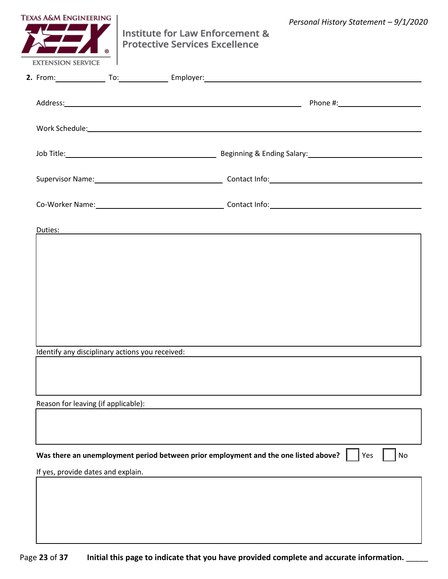| $\Box$<br>$\Box$ |
|------------------|
|                  |
|                  |
|                  |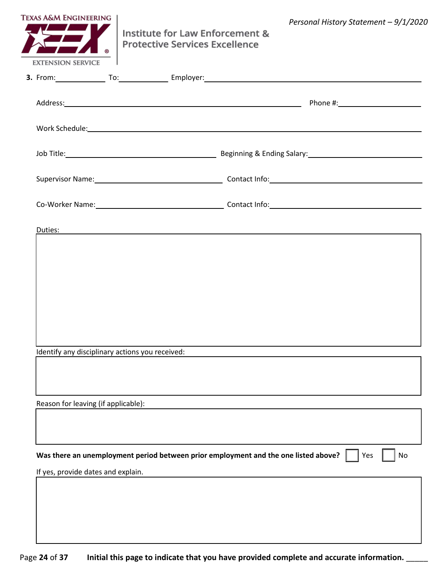|  |  | $\Box$ | $\Box$ |
|--|--|--------|--------|
|  |  |        |        |
|  |  |        |        |
|  |  |        |        |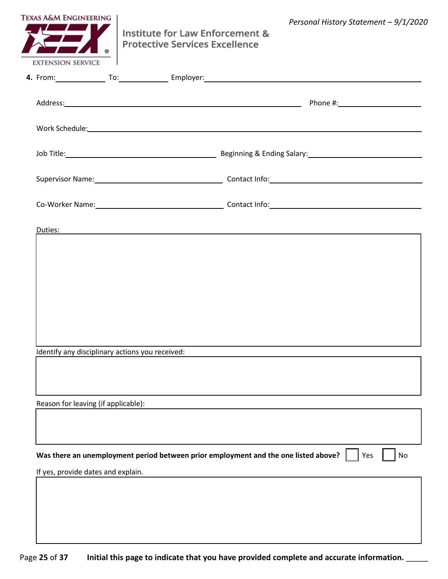|  |  | $\Box$ | $\Box$ |
|--|--|--------|--------|
|  |  |        |        |
|  |  |        |        |
|  |  |        |        |
|  |  |        |        |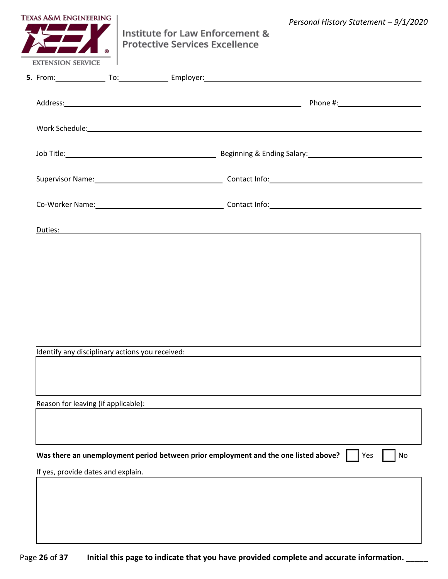|  |  | $\Box$ | $\Box$ |
|--|--|--------|--------|
|  |  |        |        |
|  |  |        |        |
|  |  |        |        |
|  |  |        |        |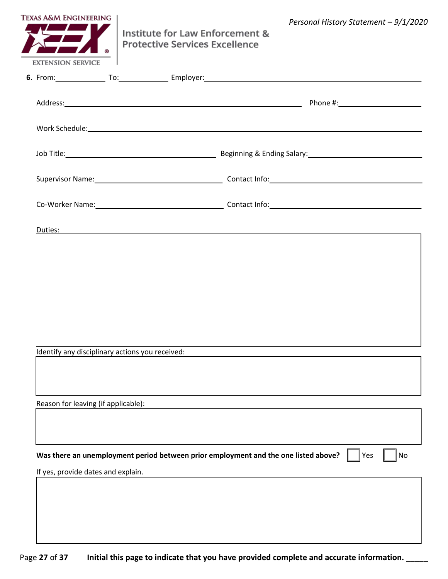|  |  | $\Box$ | $\Box$ |
|--|--|--------|--------|
|  |  |        |        |
|  |  |        |        |
|  |  |        |        |
|  |  |        |        |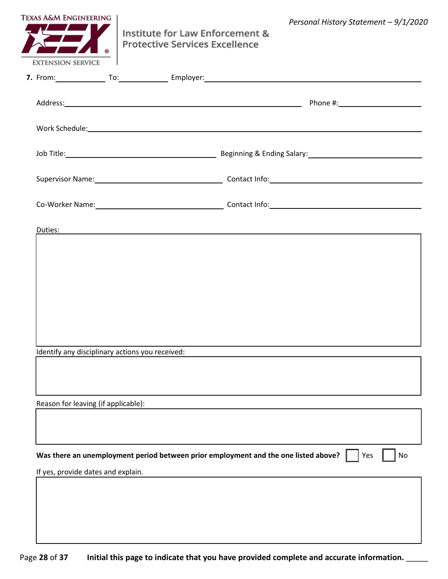|  |  |  |  |  | $\Box$ | $\Box$ |  |
|--|--|--|--|--|--------|--------|--|
|  |  |  |  |  |        |        |  |
|  |  |  |  |  |        |        |  |
|  |  |  |  |  |        |        |  |
|  |  |  |  |  |        |        |  |
|  |  |  |  |  |        |        |  |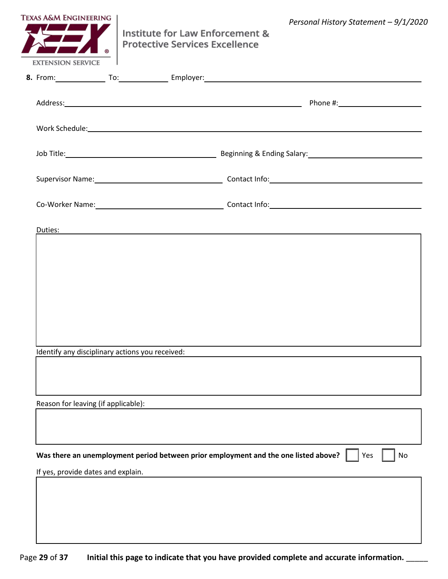|  |  |  |  | $\Box$ | $\Box$ |  |
|--|--|--|--|--------|--------|--|
|  |  |  |  |        |        |  |
|  |  |  |  |        |        |  |
|  |  |  |  |        |        |  |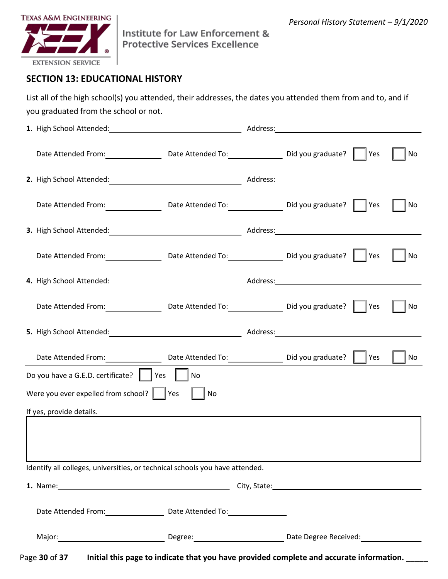|                                      |                                                  | $\Box$ | $\Box$ |
|--------------------------------------|--------------------------------------------------|--------|--------|
|                                      |                                                  | $\Box$ | $\Box$ |
|                                      |                                                  | $\Box$ | $\Box$ |
|                                      |                                                  | $\Box$ | $\Box$ |
| $\Box$<br>$\Box$<br>$\Box$<br>$\Box$ |                                                  | $\Box$ |        |
|                                      |                                                  |        |        |
|                                      | $\sim$ $\sim$ $\sim$ $\sim$ $\sim$ $\sim$ $\sim$ |        |        |
|                                      |                                                  |        |        |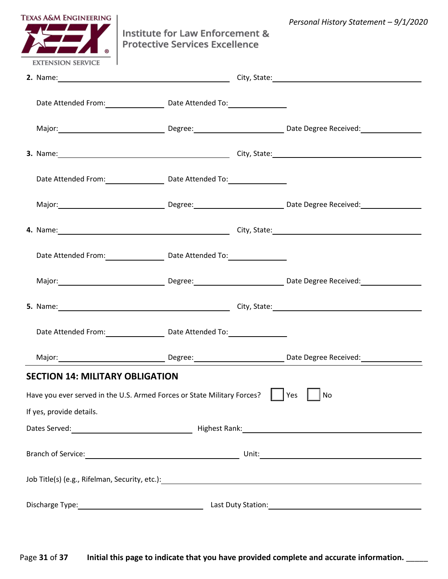|  |                             |                                           | $\mathbf{r} = \mathbf{r} \times \mathbf{r}$ , where $\mathbf{r} = \mathbf{r} \times \mathbf{r}$ |  |  |
|--|-----------------------------|-------------------------------------------|-------------------------------------------------------------------------------------------------|--|--|
|  |                             | <b>Service Contract Contract Contract</b> |                                                                                                 |  |  |
|  |                             |                                           |                                                                                                 |  |  |
|  | $\sim$ $\sim$ $\sim$ $\sim$ |                                           |                                                                                                 |  |  |
|  |                             |                                           | $\frac{1}{2}$ and $\frac{1}{2}$ and $\frac{1}{2}$                                               |  |  |
|  |                             | <b>Contract Contract Contract</b>         |                                                                                                 |  |  |
|  | $\sim$ $\sim$ $\sim$ $\sim$ |                                           |                                                                                                 |  |  |
|  |                             |                                           |                                                                                                 |  |  |
|  |                             |                                           | <u>state</u> and the state of the state                                                         |  |  |
|  |                             |                                           |                                                                                                 |  |  |
|  |                             |                                           |                                                                                                 |  |  |
|  |                             |                                           |                                                                                                 |  |  |
|  |                             |                                           |                                                                                                 |  |  |
|  |                             |                                           |                                                                                                 |  |  |
|  |                             |                                           |                                                                                                 |  |  |
|  |                             |                                           |                                                                                                 |  |  |
|  |                             |                                           |                                                                                                 |  |  |
|  |                             |                                           |                                                                                                 |  |  |
|  |                             |                                           |                                                                                                 |  |  |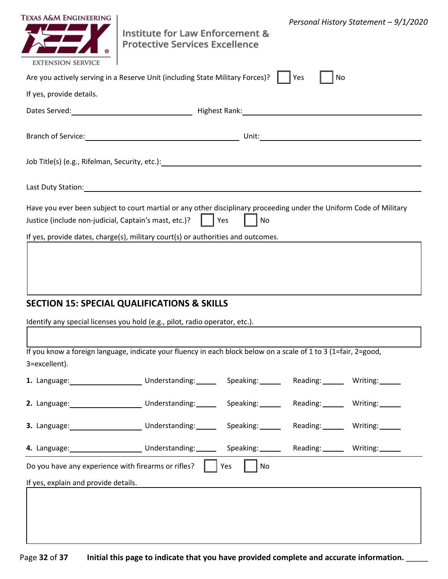|  | $\Box$ | $\Box$ |  |  |
|--|--------|--------|--|--|
|  |        |        |  |  |
|  |        |        |  |  |
|  |        |        |  |  |
|  |        |        |  |  |
|  |        |        |  |  |
|  |        |        |  |  |
|  |        |        |  |  |
|  | $\Box$ | $\Box$ |  |  |
|  |        |        |  |  |
|  |        |        |  |  |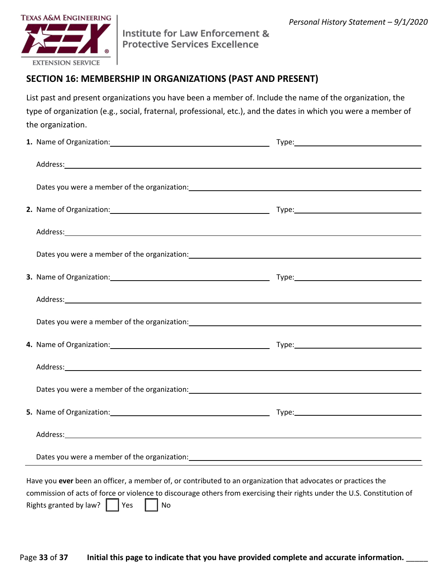|  | $\begin{array}{ccc} \square & \square \end{array}$ |  |  |
|--|----------------------------------------------------|--|--|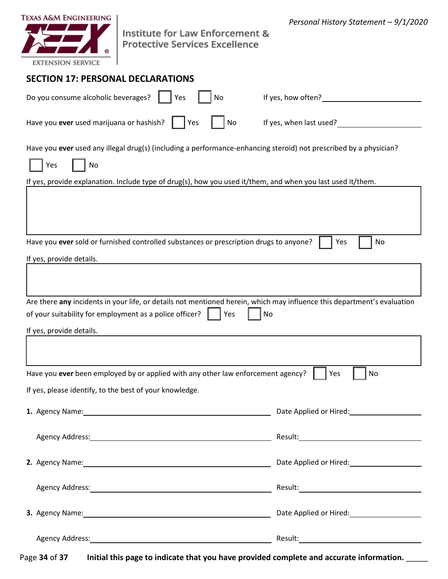| $\Box$           |  |
|------------------|--|
| $\Box$<br>$\Box$ |  |
|                  |  |
|                  |  |
|                  |  |
| $\Box$<br>$\Box$ |  |
|                  |  |
|                  |  |
|                  |  |
|                  |  |
|                  |  |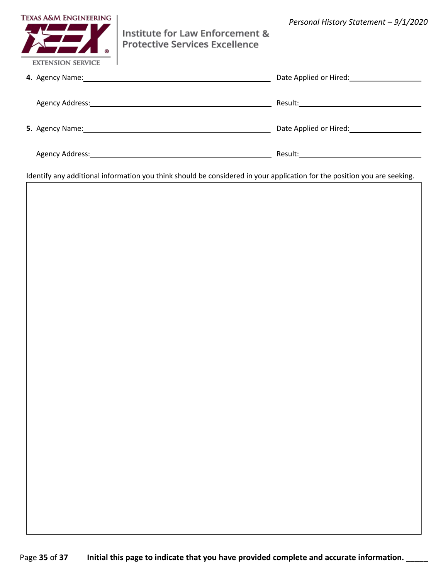